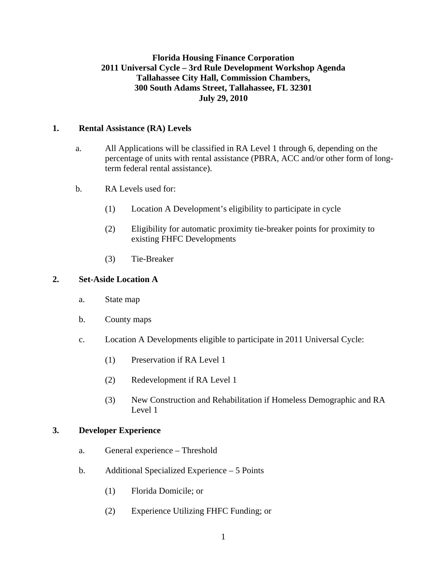# **Florida Housing Finance Corporation 2011 Universal Cycle – 3rd Rule Development Workshop Agenda Tallahassee City Hall, Commission Chambers, 300 South Adams Street, Tallahassee, FL 32301 July 29, 2010**

### **1. Rental Assistance (RA) Levels**

- a. All Applications will be classified in RA Level 1 through 6, depending on the percentage of units with rental assistance (PBRA, ACC and/or other form of longterm federal rental assistance).
- b. RA Levels used for:
	- (1) Location A Development's eligibility to participate in cycle
	- (2) Eligibility for automatic proximity tie-breaker points for proximity to existing FHFC Developments
	- (3) Tie-Breaker

### **2. Set-Aside Location A**

- a. State map
- b. County maps
- c. Location A Developments eligible to participate in 2011 Universal Cycle:
	- (1) Preservation if RA Level 1
	- (2) Redevelopment if RA Level 1
	- (3) New Construction and Rehabilitation if Homeless Demographic and RA Level 1

#### **3. Developer Experience**

- a. General experience Threshold
- b. Additional Specialized Experience 5 Points
	- (1) Florida Domicile; or
	- (2) Experience Utilizing FHFC Funding; or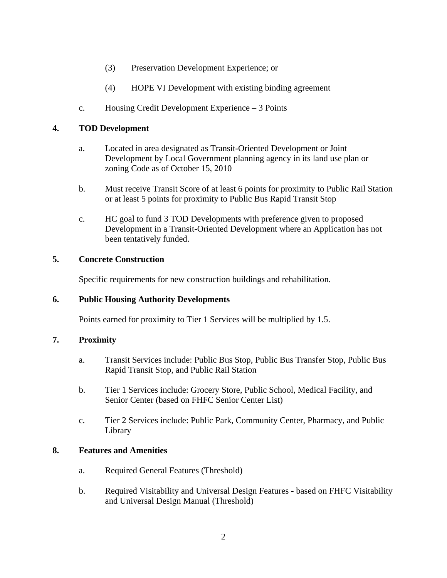- (3) Preservation Development Experience; or
- (4) HOPE VI Development with existing binding agreement
- c. Housing Credit Development Experience 3 Points

## **4. TOD Development**

- a. Located in area designated as Transit-Oriented Development or Joint Development by Local Government planning agency in its land use plan or zoning Code as of October 15, 2010
- b. Must receive Transit Score of at least 6 points for proximity to Public Rail Station or at least 5 points for proximity to Public Bus Rapid Transit Stop
- c. HC goal to fund 3 TOD Developments with preference given to proposed Development in a Transit-Oriented Development where an Application has not been tentatively funded.

### **5. Concrete Construction**

Specific requirements for new construction buildings and rehabilitation.

#### **6. Public Housing Authority Developments**

Points earned for proximity to Tier 1 Services will be multiplied by 1.5.

#### **7. Proximity**

- a. Transit Services include: Public Bus Stop, Public Bus Transfer Stop, Public Bus Rapid Transit Stop, and Public Rail Station
- b. Tier 1 Services include: Grocery Store, Public School, Medical Facility, and Senior Center (based on FHFC Senior Center List)
- c. Tier 2 Services include: Public Park, Community Center, Pharmacy, and Public Library

#### **8. Features and Amenities**

- a. Required General Features (Threshold)
- b. Required Visitability and Universal Design Features based on FHFC Visitability and Universal Design Manual (Threshold)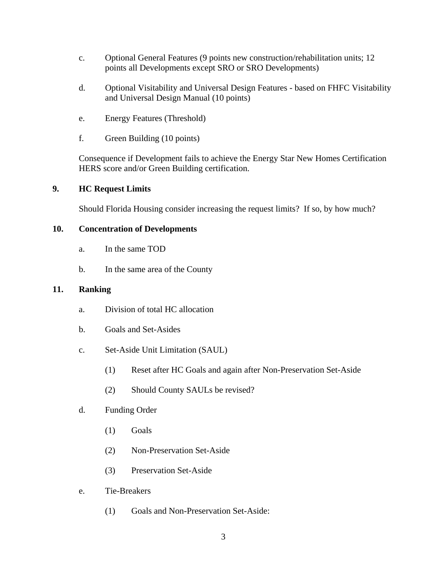- c. Optional General Features (9 points new construction/rehabilitation units; 12 points all Developments except SRO or SRO Developments)
- d. Optional Visitability and Universal Design Features based on FHFC Visitability and Universal Design Manual (10 points)
- e. Energy Features (Threshold)
- f. Green Building (10 points)

 Consequence if Development fails to achieve the Energy Star New Homes Certification HERS score and/or Green Building certification.

# **9. HC Request Limits**

Should Florida Housing consider increasing the request limits? If so, by how much?

# **10. Concentration of Developments**

- a. In the same TOD
- b. In the same area of the County

## **11. Ranking**

- a. Division of total HC allocation
- b. Goals and Set-Asides
- c. Set-Aside Unit Limitation (SAUL)
	- (1) Reset after HC Goals and again after Non-Preservation Set-Aside
	- (2) Should County SAULs be revised?
- d. Funding Order
	- (1) Goals
	- (2) Non-Preservation Set-Aside
	- (3) Preservation Set-Aside
- e. Tie-Breakers
	- (1) Goals and Non-Preservation Set-Aside: